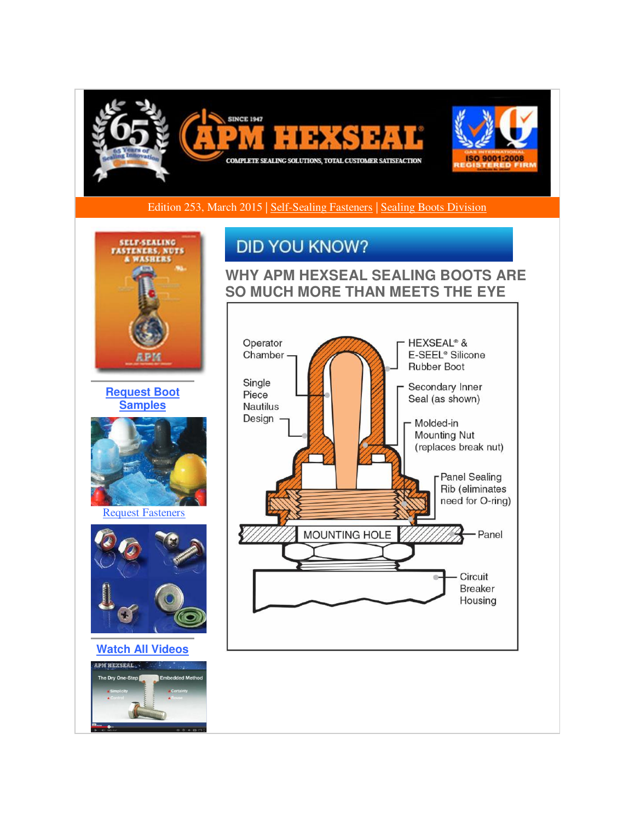

Edition 253, March 2015 | [Self-Sealing Fasteners](http://r20.rs6.net/tn.jsp?f=001F7_sQLsil2j3YSZxYuA38d0Jc9o4TsE4hpdnNM73fVpZqjMlTG_Fb7IcgxNoI8baTDEI5e2K-_oWvuemQwj8U4SXAUKo2cr3TvZVO_3VRSzyUUpk7U-SLPPMVYwWmz7rKCTWGGOrHFUlj3sAJYlvXwlwtpEjTrC6bUwatDPgnSlMA_WwxJLzRgypU0y5acT3uG2N5q2lexs0RT1hJXILSoooxO009DWkZ7WLWdLLRD69mlw24b4QiizrKRZ4QYW_nrh28LFoI9kS41ykT1AB4yDTVUcPVlHEskzRkohHj6QT_t-y9aH3uw==&c=gD97iFhRrQljSUcdSaDjiBGEfGT4H2W4iw0a7KCmtqKa4IbrYwdovg==&ch=XQ6PfvKhR18sDlocYJBpBQdvpSH38zNnVmT8n_QrNYQ6gOsDIjsn4A==) | [Sealing Boots Division](http://r20.rs6.net/tn.jsp?f=001F7_sQLsil2j3YSZxYuA38d0Jc9o4TsE4hpdnNM73fVpZqjMlTG_Fb7IcgxNoI8ba_s--LEfVdCztuNIgZjQVKN_qxTmb_LG71976GoMUG5sNaVrhO8idWFCLxvln4AXBeiXNgt4YUg4FCVLHffXHS_CNdRyeBgYSj-xASELeqWf6kn5BbBzArJYl2zWlHgMD8nG4GdWfvzOS640cYN5XPWyS_MmgviQnxQNnvY5LVv61wshaNO0EWFqwxuPXPOyE8i2vRh8IyQT7i3uFsJa5PR_cT8lypHqOS0mEjkkc59o=&c=gD97iFhRrQljSUcdSaDjiBGEfGT4H2W4iw0a7KCmtqKa4IbrYwdovg==&ch=XQ6PfvKhR18sDlocYJBpBQdvpSH38zNnVmT8n_QrNYQ6gOsDIjsn4A==) 



**[Request Boot](http://r20.rs6.net/tn.jsp?f=001F7_sQLsil2j3YSZxYuA38d0Jc9o4TsE4hpdnNM73fVpZqjMlTG_Fb7IcgxNoI8badtCXdfLmSOHrY5U_NJaj7ZgT-zrHW8rzKXAmyyAvWXVUv_yLXDPQYEdkkZ8zM-iLuPS-G5HZtEth1DFukGnnV18wLp26bnVTIkTJrOihFJGvFFQlrM7qrU63GmklT5tOYTjqfcZPA05eWDJJAomIlnnIXuhwYaAQCglqTK32GsWirHioMwJcBRtxFOOU28U941zKAKbMZzeJnRGsfGtOorEvN-sJFqwGcTVVgu4u8OsO08nGpx33IjT4uDKbcm7Q&c=gD97iFhRrQljSUcdSaDjiBGEfGT4H2W4iw0a7KCmtqKa4IbrYwdovg==&ch=XQ6PfvKhR18sDlocYJBpBQdvpSH38zNnVmT8n_QrNYQ6gOsDIjsn4A==)  [Samples](http://r20.rs6.net/tn.jsp?f=001F7_sQLsil2j3YSZxYuA38d0Jc9o4TsE4hpdnNM73fVpZqjMlTG_Fb7IcgxNoI8badtCXdfLmSOHrY5U_NJaj7ZgT-zrHW8rzKXAmyyAvWXVUv_yLXDPQYEdkkZ8zM-iLuPS-G5HZtEth1DFukGnnV18wLp26bnVTIkTJrOihFJGvFFQlrM7qrU63GmklT5tOYTjqfcZPA05eWDJJAomIlnnIXuhwYaAQCglqTK32GsWirHioMwJcBRtxFOOU28U941zKAKbMZzeJnRGsfGtOorEvN-sJFqwGcTVVgu4u8OsO08nGpx33IjT4uDKbcm7Q&c=gD97iFhRrQljSUcdSaDjiBGEfGT4H2W4iw0a7KCmtqKa4IbrYwdovg==&ch=XQ6PfvKhR18sDlocYJBpBQdvpSH38zNnVmT8n_QrNYQ6gOsDIjsn4A==)**



[Request Fasteners](http://r20.rs6.net/tn.jsp?f=001F7_sQLsil2j3YSZxYuA38d0Jc9o4TsE4hpdnNM73fVpZqjMlTG_Fb7IcgxNoI8ba3VgDXJsSu49JMaGaeOv5g8NZYaShnqwo1EZ4vtOAgVj7ShVu4DxExivy7byvrnnZ5xGpl8_-05TPnXZQttCoD34fVWxKidcYaPIZf6Kj_i2_ZeQF8jY8k37iwFhosujcaCxTjTz-FCyQdIRttsohigtlqpOXWEbbmctHu36a58m4kGEtttysHfdfdIrQrfsY2w5quR7Ghkjcg8GC_LugvZkfFD9WXFLWRePbnT16i0KuMbdWIKu1yQ==&c=gD97iFhRrQljSUcdSaDjiBGEfGT4H2W4iw0a7KCmtqKa4IbrYwdovg==&ch=XQ6PfvKhR18sDlocYJBpBQdvpSH38zNnVmT8n_QrNYQ6gOsDIjsn4A==)



**[Watch All Videos](http://r20.rs6.net/tn.jsp?f=001F7_sQLsil2j3YSZxYuA38d0Jc9o4TsE4hpdnNM73fVpZqjMlTG_Fb7IcgxNoI8bawCE4ZvlV62Mup3RKkr_3DWnK772KbRxMFREG3C6yM8BkVrpjWc2dFDJc_g0tQ5YfuWKVa2JJiISJ1TYLuyyoR70HFDiIXMMQV3_ceJcrgH3c5dHQm9pigzNt-aJ33vVsWstiLIlJMtYA-GAlGS1Ok7-tQR3nhEoA3i_Jgqp3TGoUjDc4XFOidf44bPzFYoqBGPrYfsnjEOlCQDNBvwZZuTsYMSZZuuXF&c=gD97iFhRrQljSUcdSaDjiBGEfGT4H2W4iw0a7KCmtqKa4IbrYwdovg==&ch=XQ6PfvKhR18sDlocYJBpBQdvpSH38zNnVmT8n_QrNYQ6gOsDIjsn4A==)**



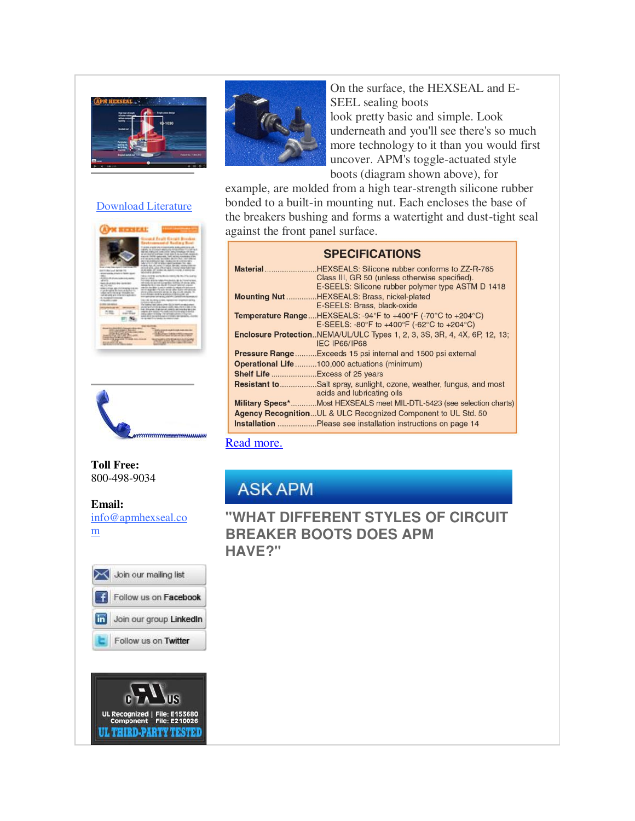

### [Download Literature](http://r20.rs6.net/tn.jsp?f=001F7_sQLsil2j3YSZxYuA38d0Jc9o4TsE4hpdnNM73fVpZqjMlTG_Fb7IcgxNoI8baAfep289TbeHTktNEAsLrMpy7KpZ2dHApZJNH_tG0_JxlH-Cro_2TE403gNYt7OBV9M3lguEt2F79PiXV9eOLrYjtpLvopxO8C710Vfd5uynFQ3qFDdv9QL7B6h7-QokrMy9retKJCfXdsq4Oz2UNoEg0nqp-aE90o-Qf7HO3rS3ubOPhKKPyRQgkvLt0z5HEiT_dvvK8zn72D-k233hWNwiLnZnz--18&c=gD97iFhRrQljSUcdSaDjiBGEfGT4H2W4iw0a7KCmtqKa4IbrYwdovg==&ch=XQ6PfvKhR18sDlocYJBpBQdvpSH38zNnVmT8n_QrNYQ6gOsDIjsn4A==)





### **Toll Free:**  800-498-9034

**Email:** [info@apmhexseal.co](mailto:info@apmhexseal.com) [m](mailto:info@apmhexseal.com)







On the surface, the HEXSEAL and E-SEEL sealing boots look pretty basic and simple. Look underneath and you'll see there's so much more technology to it than you would first uncover. APM's toggle-actuated style boots (diagram shown above), for

example, are molded from a high tear-strength silicone rubber bonded to a built-in mounting nut. Each encloses the base of the breakers bushing and forms a watertight and dust-tight seal against the front panel surface.

| <b>SPECIFICATIONS</b>                                                                                                                                          |
|----------------------------------------------------------------------------------------------------------------------------------------------------------------|
| Material HEXSEALS: Silicone rubber conforms to ZZ-R-765<br>Class III, GR 50 (unless otherwise specified).<br>E-SEELS: Silicone rubber polymer type ASTM D 1418 |
| Mounting Nut HEXSEALS: Brass, nickel-plated<br>E-SEELS: Brass, black-oxide                                                                                     |
| <b>Temperature RangeHEXSEALS: -94°F to +400°F (-70°C to +204°C)</b><br>E-SEELS: -80°F to +400°F (-62°C to +204°C)                                              |
| Enclosure ProtectionNEMA/UL/ULC Types 1, 2, 3, 3S, 3R, 4, 4X, 6P, 12, 13;<br>IEC IP66/IP68                                                                     |
| Exceeds 15 psi internal and 1500 psi external<br>Pressure Range                                                                                                |
| <b>Operational Life 100,000 actuations (minimum)</b>                                                                                                           |
|                                                                                                                                                                |
| Salt spray, sunlight, ozone, weather, fungus, and most<br>Resistant to<br>acids and lubricating oils                                                           |
| Military Specs*Most HEXSEALS meet MIL-DTL-5423 (see selection charts)                                                                                          |
| <b>Agency Recognition UL &amp; ULC Recognized Component to UL Std. 50</b>                                                                                      |
| <b>Installation</b> Please see installation instructions on page 14                                                                                            |

### [Read more.](http://r20.rs6.net/tn.jsp?f=001F7_sQLsil2j3YSZxYuA38d0Jc9o4TsE4hpdnNM73fVpZqjMlTG_Fb6ECgaMKegUx4I5u7jXd5PT608hjCU8QPbEUH7MctnBui7kUWXGbkSMJH-cgKG5VQDczJHSfEs0CTAlmsLfbXipBUjdj1BkDhUUoLtY0s-8QfgMmyXrTQYug57w3IddD5Y0T02mXTmDggeDG4bhliauJkPybo88EMKDvqNJM07OkoAYZ-V6WVoRDR7OcaGrqfsv2i0-stDU1s1vFG9JkT-mUU3ufb9TT6BPW77i_0zWcn_iA6UN4Y8ESmAWC_2BK6p_iQ0vxcwIsZb25f5VzIRDTsSwzfeZ--n-jBKcEZgKM&c=gD97iFhRrQljSUcdSaDjiBGEfGT4H2W4iw0a7KCmtqKa4IbrYwdovg==&ch=XQ6PfvKhR18sDlocYJBpBQdvpSH38zNnVmT8n_QrNYQ6gOsDIjsn4A==)

# **ASK APM**

# **"WHAT DIFFERENT STYLES OF CIRCUIT BREAKER BOOTS DOES APM HAVE?"**